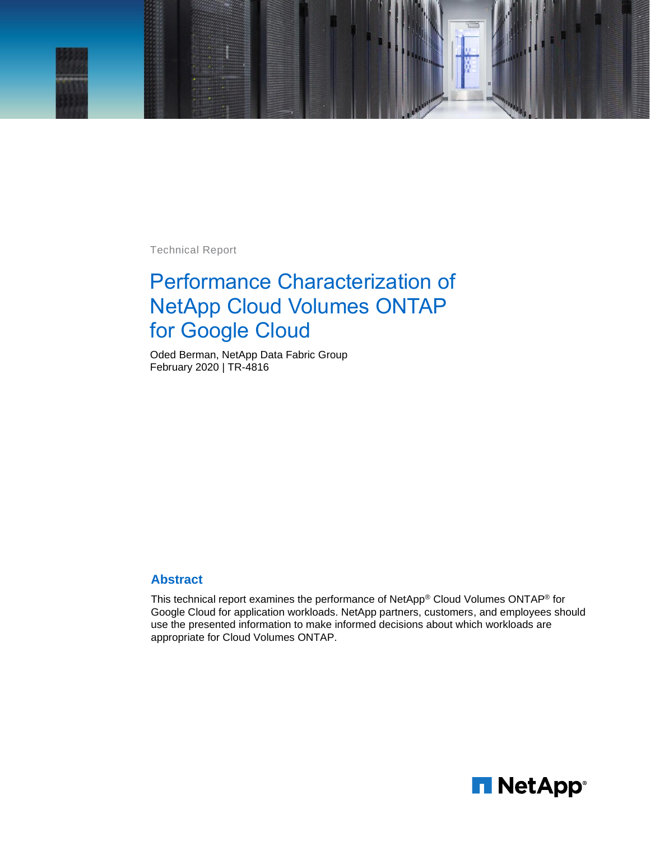

Technical Report

# Performance Characterization of NetApp Cloud Volumes ONTAP for Google Cloud

Oded Berman, NetApp Data Fabric Group February 2020 | TR-4816

#### **Abstract**

This technical report examines the performance of NetApp® Cloud Volumes ONTAP® for Google Cloud for application workloads. NetApp partners, customers, and employees should use the presented information to make informed decisions about which workloads are appropriate for Cloud Volumes ONTAP.

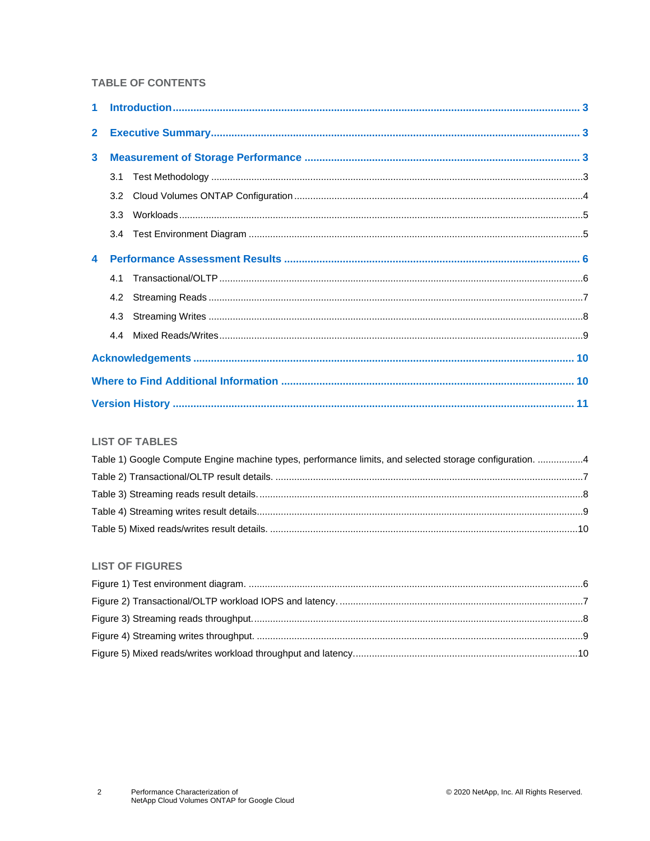#### **TABLE OF CONTENTS**

| 2 <sup>7</sup> |     |  |  |  |  |  |  |  |
|----------------|-----|--|--|--|--|--|--|--|
| 3              |     |  |  |  |  |  |  |  |
|                |     |  |  |  |  |  |  |  |
|                | 3.2 |  |  |  |  |  |  |  |
|                |     |  |  |  |  |  |  |  |
|                |     |  |  |  |  |  |  |  |
|                |     |  |  |  |  |  |  |  |
|                |     |  |  |  |  |  |  |  |
|                |     |  |  |  |  |  |  |  |
|                |     |  |  |  |  |  |  |  |
|                |     |  |  |  |  |  |  |  |
|                |     |  |  |  |  |  |  |  |
|                |     |  |  |  |  |  |  |  |
|                |     |  |  |  |  |  |  |  |

#### **LIST OF TABLES**

| Table 1) Google Compute Engine machine types, performance limits, and selected storage configuration. 4 |  |
|---------------------------------------------------------------------------------------------------------|--|
|                                                                                                         |  |
|                                                                                                         |  |
|                                                                                                         |  |
|                                                                                                         |  |

#### **LIST OF FIGURES**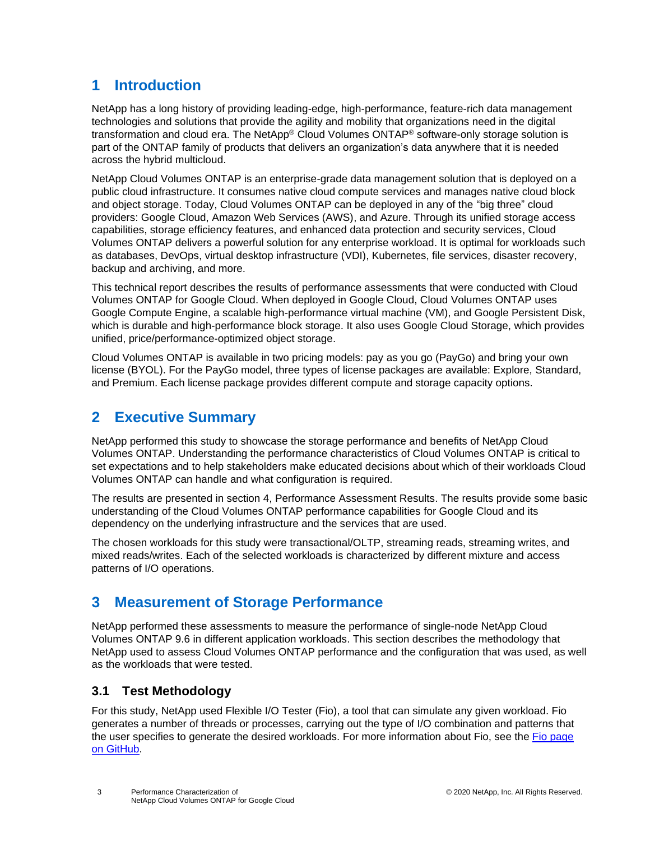# <span id="page-2-0"></span>**1 Introduction**

NetApp has a long history of providing leading-edge, high-performance, feature-rich data management technologies and solutions that provide the agility and mobility that organizations need in the digital transformation and cloud era. The NetApp® Cloud Volumes ONTAP® software-only storage solution is part of the ONTAP family of products that delivers an organization's data anywhere that it is needed across the hybrid multicloud.

NetApp Cloud Volumes ONTAP is an enterprise-grade data management solution that is deployed on a public cloud infrastructure. It consumes native cloud compute services and manages native cloud block and object storage. Today, Cloud Volumes ONTAP can be deployed in any of the "big three" cloud providers: Google Cloud, Amazon Web Services (AWS), and Azure. Through its unified storage access capabilities, storage efficiency features, and enhanced data protection and security services, Cloud Volumes ONTAP delivers a powerful solution for any enterprise workload. It is optimal for workloads such as databases, DevOps, virtual desktop infrastructure (VDI), Kubernetes, file services, disaster recovery, backup and archiving, and more.

This technical report describes the results of performance assessments that were conducted with Cloud Volumes ONTAP for Google Cloud. When deployed in Google Cloud, Cloud Volumes ONTAP uses Google Compute Engine, a scalable high-performance virtual machine (VM), and Google Persistent Disk, which is durable and high-performance block storage. It also uses Google Cloud Storage, which provides unified, price/performance-optimized object storage.

Cloud Volumes ONTAP is available in two pricing models: pay as you go (PayGo) and bring your own license (BYOL). For the PayGo model, three types of license packages are available: Explore, Standard, and Premium. Each license package provides different compute and storage capacity options.

# <span id="page-2-1"></span>**2 Executive Summary**

NetApp performed this study to showcase the storage performance and benefits of NetApp Cloud Volumes ONTAP. Understanding the performance characteristics of Cloud Volumes ONTAP is critical to set expectations and to help stakeholders make educated decisions about which of their workloads Cloud Volumes ONTAP can handle and what configuration is required.

The results are presented in section [4, Performance Assessment Results.](#page-5-0) The results provide some basic understanding of the Cloud Volumes ONTAP performance capabilities for Google Cloud and its dependency on the underlying infrastructure and the services that are used.

The chosen workloads for this study were transactional/OLTP, streaming reads, streaming writes, and mixed reads/writes. Each of the selected workloads is characterized by different mixture and access patterns of I/O operations.

# <span id="page-2-2"></span>**3 Measurement of Storage Performance**

NetApp performed these assessments to measure the performance of single-node NetApp Cloud Volumes ONTAP 9.6 in different application workloads. This section describes the methodology that NetApp used to assess Cloud Volumes ONTAP performance and the configuration that was used, as well as the workloads that were tested.

## <span id="page-2-3"></span>**3.1 Test Methodology**

For this study, NetApp used Flexible I/O Tester (Fio), a tool that can simulate any given workload. Fio generates a number of threads or processes, carrying out the type of I/O combination and patterns that the user specifies to generate the desired workloads. For more information about Fio, see the Fio [page](https://github.com/axboe/fio)  [on GitHub.](https://github.com/axboe/fio)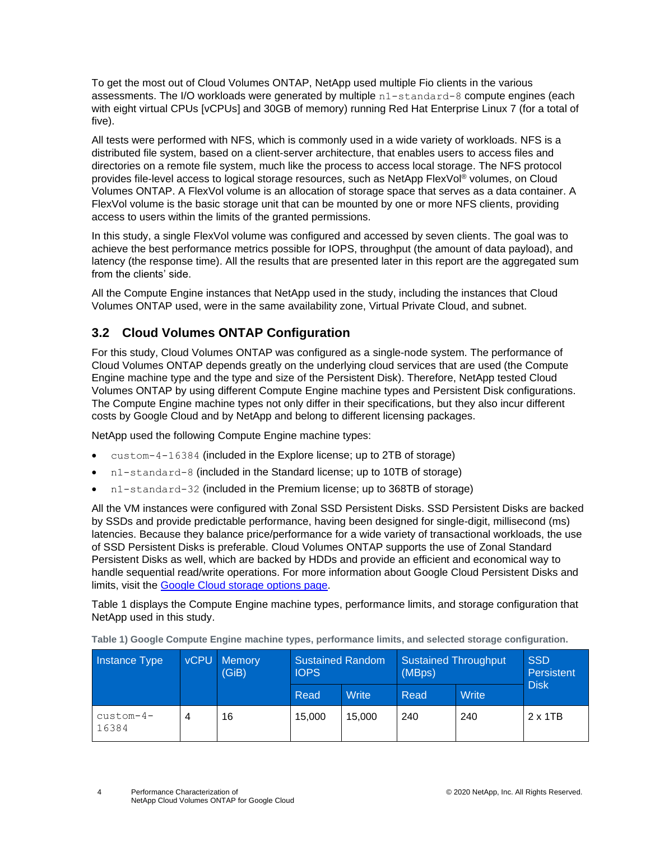To get the most out of Cloud Volumes ONTAP, NetApp used multiple Fio clients in the various assessments. The I/O workloads were generated by multiple n1-standard-8 compute engines (each with eight virtual CPUs [vCPUs] and 30GB of memory) running Red Hat Enterprise Linux 7 (for a total of five).

All tests were performed with NFS, which is commonly used in a wide variety of workloads. NFS is a distributed file system, based on a client-server architecture, that enables users to access files and directories on a remote file system, much like the process to access local storage. The NFS protocol provides file-level access to logical storage resources, such as NetApp FlexVol® volumes, on Cloud Volumes ONTAP. A FlexVol volume is an allocation of storage space that serves as a data container. A FlexVol volume is the basic storage unit that can be mounted by one or more NFS clients, providing access to users within the limits of the granted permissions.

In this study, a single FlexVol volume was configured and accessed by seven clients. The goal was to achieve the best performance metrics possible for IOPS, throughput (the amount of data payload), and latency (the response time). All the results that are presented later in this report are the aggregated sum from the clients' side.

All the Compute Engine instances that NetApp used in the study, including the instances that Cloud Volumes ONTAP used, were in the same availability zone, Virtual Private Cloud, and subnet.

# <span id="page-3-0"></span>**3.2 Cloud Volumes ONTAP Configuration**

For this study, Cloud Volumes ONTAP was configured as a single-node system. The performance of Cloud Volumes ONTAP depends greatly on the underlying cloud services that are used (the Compute Engine machine type and the type and size of the Persistent Disk). Therefore, NetApp tested Cloud Volumes ONTAP by using different Compute Engine machine types and Persistent Disk configurations. The Compute Engine machine types not only differ in their specifications, but they also incur different costs by Google Cloud and by NetApp and belong to different licensing packages.

NetApp used the following Compute Engine machine types:

- custom-4-16384 (included in the Explore license; up to 2TB of storage)
- n1-standard-8 (included in the Standard license; up to 10TB of storage)
- n1-standard-32 (included in the Premium license; up to 368TB of storage)

All the VM instances were configured with Zonal SSD Persistent Disks. SSD Persistent Disks are backed by SSDs and provide predictable performance, having been designed for single-digit, millisecond (ms) latencies. Because they balance price/performance for a wide variety of transactional workloads, the use of SSD Persistent Disks is preferable. Cloud Volumes ONTAP supports the use of Zonal Standard Persistent Disks as well, which are backed by HDDs and provide an efficient and economical way to handle sequential read/write operations. For more information about Google Cloud Persistent Disks and limits, visit the Google Cloud [storage options page.](https://cloud.google.com/compute/docs/disks/performance)

[Table 1](#page-3-1) displays the Compute Engine machine types, performance limits, and storage configuration that NetApp used in this study.

| Instance Type        | <b>vCPU</b> | <b>Memory</b><br>(GiB) | <b>Sustained Random</b><br><b>IOPS</b> |              | Sustained Throughput<br>(MBps) |       | <b>SSD</b><br>Persistent |
|----------------------|-------------|------------------------|----------------------------------------|--------------|--------------------------------|-------|--------------------------|
|                      |             |                        | Read                                   | <b>Write</b> | Read                           | Write | <b>Disk</b>              |
| $custom-4-$<br>16384 | 4           | 16                     | 15.000                                 | 15.000       | 240                            | 240   | 2 x 1TB                  |

<span id="page-3-1"></span>**Table 1) Google Compute Engine machine types, performance limits, and selected storage configuration.**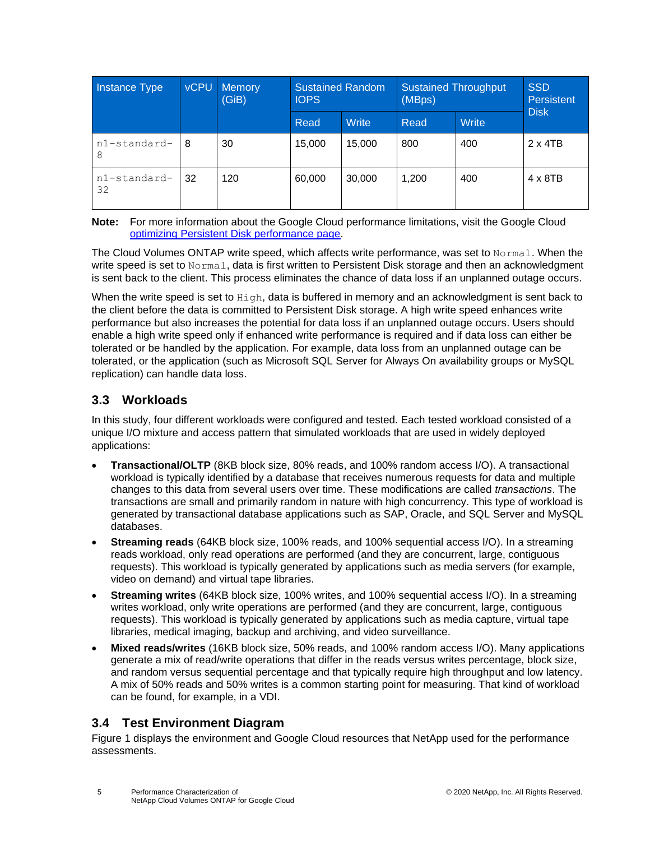| Instance Type      | <b>vCPU</b><br>Memory<br>(GiB) |     | <b>Sustained Random</b><br><b>IOPS</b> |              | <b>Sustained Throughput</b><br>(MBps) |       | <b>SSD</b><br>Persistent |
|--------------------|--------------------------------|-----|----------------------------------------|--------------|---------------------------------------|-------|--------------------------|
|                    |                                |     | Read                                   | <b>Write</b> | Read                                  | Write | <b>Disk</b>              |
| n1-standard-<br>8  | 8                              | 30  | 15.000                                 | 15,000       | 800                                   | 400   | $2 \times 4TB$           |
| n1-standard-<br>32 | 32                             | 120 | 60,000                                 | 30,000       | 1,200                                 | 400   | $4 \times 8$ TB          |

**Note:** For more information about the Google Cloud performance limitations, visit the Google Cloud [optimizing Persistent Disk performance page.](https://cloud.google.com/compute/docs/disks/performance#ssd-pd-performance)

The Cloud Volumes ONTAP write speed, which affects write performance, was set to Normal. When the write speed is set to Normal, data is first written to Persistent Disk storage and then an acknowledgment is sent back to the client. This process eliminates the chance of data loss if an unplanned outage occurs.

When the write speed is set to High, data is buffered in memory and an acknowledgment is sent back to the client before the data is committed to Persistent Disk storage. A high write speed enhances write performance but also increases the potential for data loss if an unplanned outage occurs. Users should enable a high write speed only if enhanced write performance is required and if data loss can either be tolerated or be handled by the application. For example, data loss from an unplanned outage can be tolerated, or the application (such as Microsoft SQL Server for Always On availability groups or MySQL replication) can handle data loss.

### <span id="page-4-0"></span>**3.3 Workloads**

In this study, four different workloads were configured and tested. Each tested workload consisted of a unique I/O mixture and access pattern that simulated workloads that are used in widely deployed applications:

- **Transactional/OLTP** (8KB block size, 80% reads, and 100% random access I/O). A transactional workload is typically identified by a database that receives numerous requests for data and multiple changes to this data from several users over time. These modifications are called *transactions*. The transactions are small and primarily random in nature with high concurrency. This type of workload is generated by transactional database applications such as SAP, Oracle, and SQL Server and MySQL databases.
- **Streaming reads** (64KB block size, 100% reads, and 100% sequential access I/O). In a streaming reads workload, only read operations are performed (and they are concurrent, large, contiguous requests). This workload is typically generated by applications such as media servers (for example, video on demand) and virtual tape libraries.
- **Streaming writes** (64KB block size, 100% writes, and 100% sequential access I/O). In a streaming writes workload, only write operations are performed (and they are concurrent, large, contiguous requests). This workload is typically generated by applications such as media capture, virtual tape libraries, medical imaging, backup and archiving, and video surveillance.
- **Mixed reads/writes** (16KB block size, 50% reads, and 100% random access I/O). Many applications generate a mix of read/write operations that differ in the reads versus writes percentage, block size, and random versus sequential percentage and that typically require high throughput and low latency. A mix of 50% reads and 50% writes is a common starting point for measuring. That kind of workload can be found, for example, in a VDI.

## <span id="page-4-1"></span>**3.4 Test Environment Diagram**

[Figure 1](#page-5-2) displays the environment and Google Cloud resources that NetApp used for the performance assessments.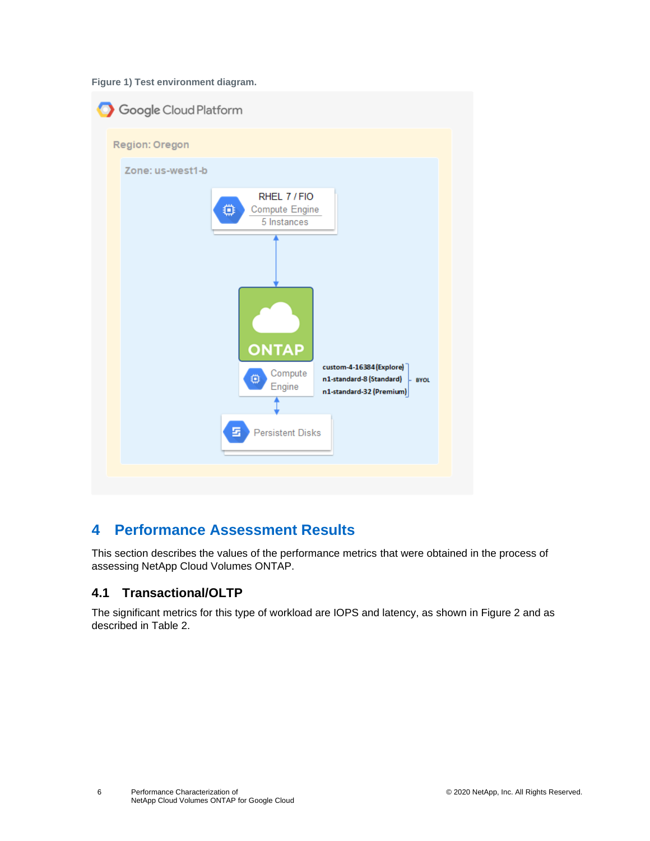<span id="page-5-2"></span>**Figure 1) Test environment diagram.**



# <span id="page-5-0"></span>**4 Performance Assessment Results**

This section describes the values of the performance metrics that were obtained in the process of assessing NetApp Cloud Volumes ONTAP.

### <span id="page-5-1"></span>**4.1 Transactional/OLTP**

The significant metrics for this type of workload are IOPS and latency, as shown in [Figure 2](#page-6-2) and as described in [Table 2.](#page-6-1)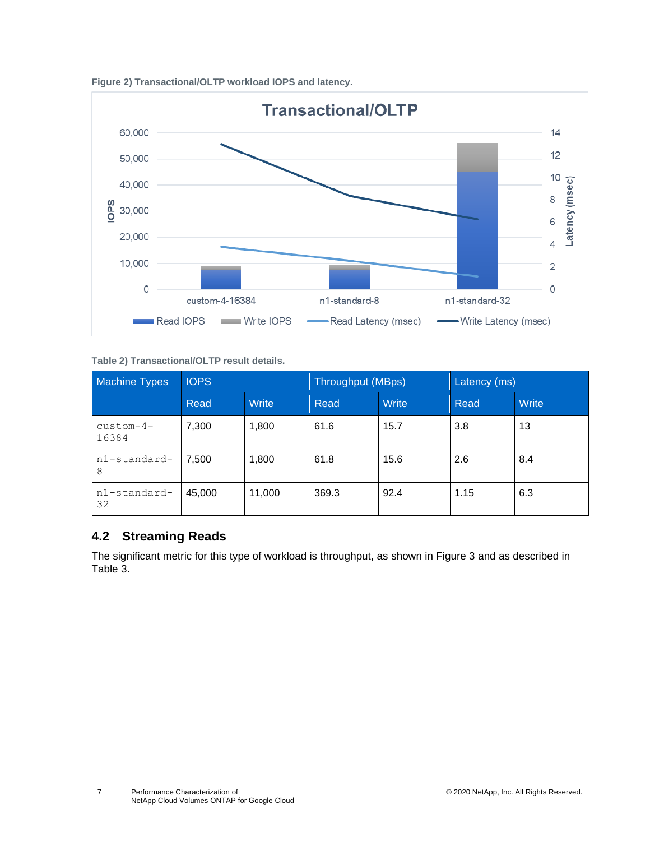<span id="page-6-2"></span>



<span id="page-6-1"></span>**Table 2) Transactional/OLTP result details.**

| <b>Machine Types</b> | <b>IOPS</b> |              | <b>Throughput (MBps)</b> |       | Latency (ms) |       |
|----------------------|-------------|--------------|--------------------------|-------|--------------|-------|
|                      | Read        | <b>Write</b> | Read                     | Write | Read         | Write |
| $custom-4-$<br>16384 | 7,300       | 1,800        | 61.6                     | 15.7  | 3.8          | 13    |
| n1-standard-<br>8    | 7,500       | 1,800        | 61.8                     | 15.6  | 2.6          | 8.4   |
| n1-standard-<br>32   | 45,000      | 11,000       | 369.3                    | 92.4  | 1.15         | 6.3   |

### <span id="page-6-0"></span>**4.2 Streaming Reads**

The significant metric for this type of workload is throughput, as shown in [Figure 3](#page-7-2) and as described in [Table 3.](#page-7-1)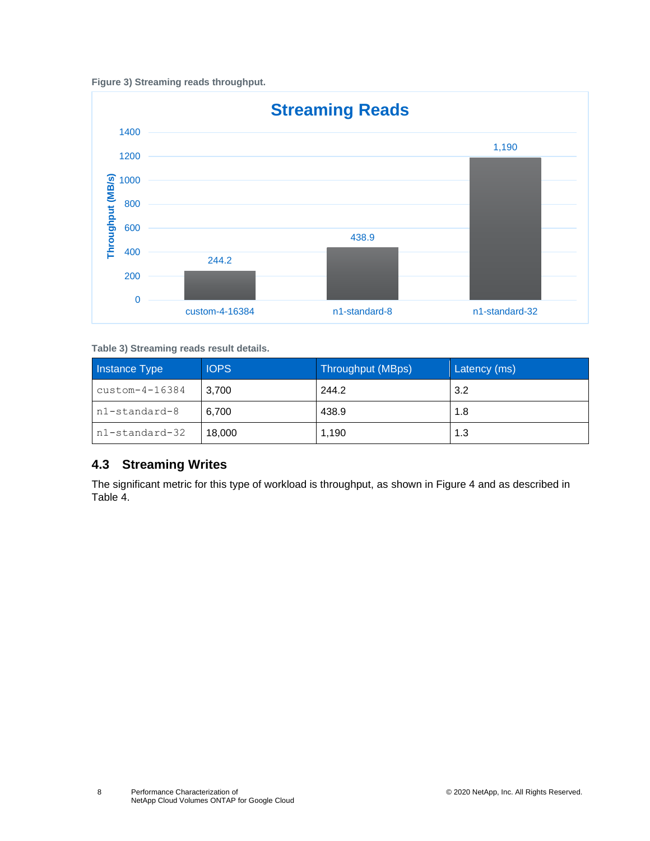<span id="page-7-2"></span>



<span id="page-7-1"></span>**Table 3) Streaming reads result details.**

| Instance Type           | <b>IOPS</b> | Throughput (MBps) | Latency (ms) |  |
|-------------------------|-------------|-------------------|--------------|--|
| $\text{custom-}4-16384$ | 3.700       | 244.2             | 3.2          |  |
| n1-standard-8           | 6.700       | 438.9             | 1.8          |  |
| n1-standard-32          | 18,000      | 1.190             | 1.3          |  |

### <span id="page-7-0"></span>**4.3 Streaming Writes**

The significant metric for this type of workload is throughput, as shown in [Figure 4](#page-8-2) and as described in [Table 4.](#page-8-1)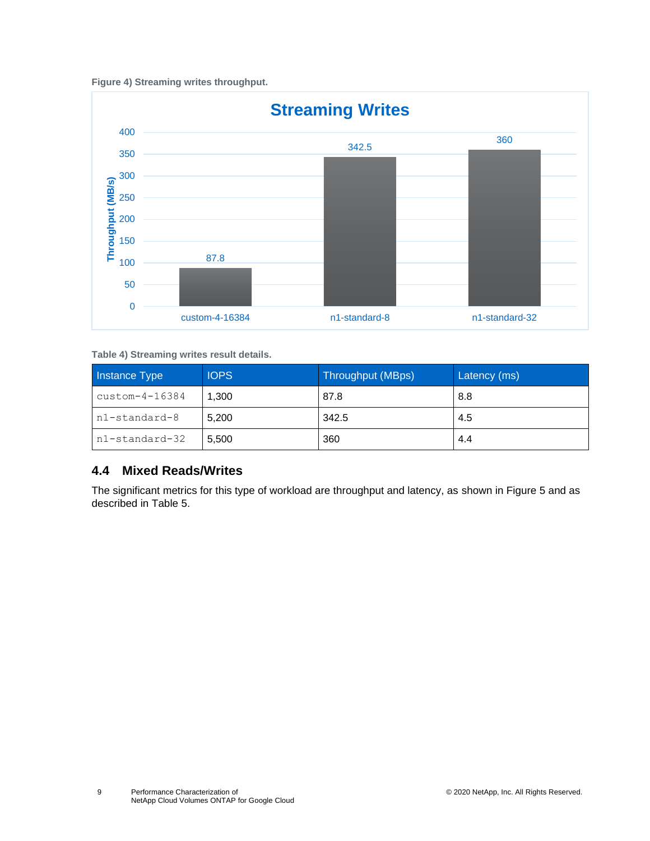<span id="page-8-2"></span>



<span id="page-8-1"></span>**Table 4) Streaming writes result details.**

| Instance Type           | <b>IOPS</b> | Throughput (MBps) | Latency (ms) |
|-------------------------|-------------|-------------------|--------------|
| $\text{custom-}4-16384$ | 1,300       | 87.8              | 8.8          |
| n1-standard-8           | 5.200       | 342.5             | 4.5          |
| n1-standard-32          | 5.500       | 360               | 4.4          |

### <span id="page-8-0"></span>**4.4 Mixed Reads/Writes**

The significant metrics for this type of workload are throughput and latency, as shown in [Figure 5](#page-9-3) and as described in [Table 5.](#page-9-2)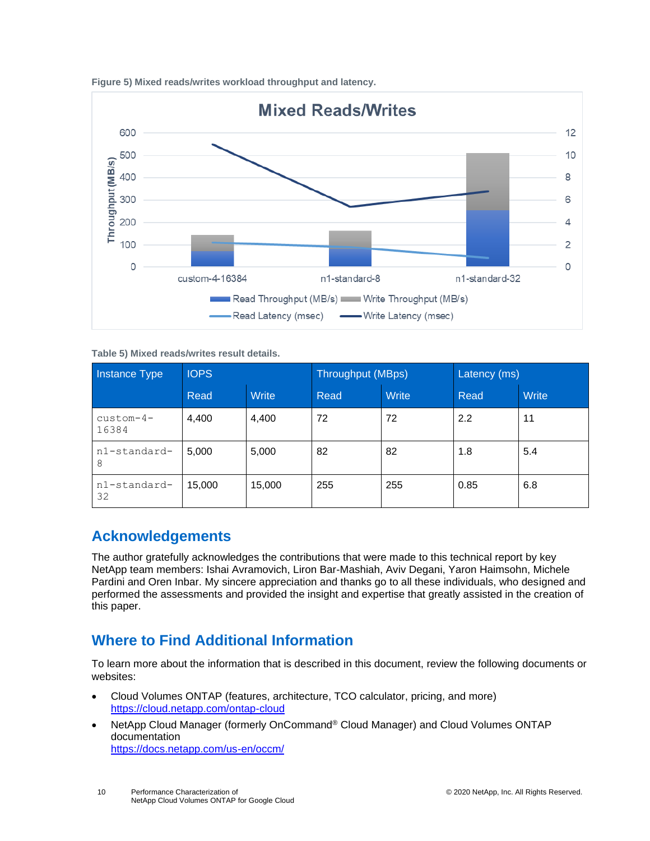

<span id="page-9-3"></span>**Figure 5) Mixed reads/writes workload throughput and latency.**

<span id="page-9-2"></span>**Table 5) Mixed reads/writes result details.**

| <b>Instance Type</b> | <b>IOPS</b> |              | <b>Throughput (MBps)</b> |       | Latency (ms) |              |
|----------------------|-------------|--------------|--------------------------|-------|--------------|--------------|
|                      | Read        | <b>Write</b> | Read                     | Write | Read         | <b>Write</b> |
| $custom-4-$<br>16384 | 4,400       | 4,400        | 72                       | 72    | 2.2          | 11           |
| n1-standard-<br>8    | 5.000       | 5,000        | 82                       | 82    | 1.8          | 5.4          |
| n1-standard-<br>32   | 15.000      | 15,000       | 255                      | 255   | 0.85         | 6.8          |

# <span id="page-9-0"></span>**Acknowledgements**

The author gratefully acknowledges the contributions that were made to this technical report by key NetApp team members: Ishai Avramovich, Liron Bar-Mashiah, Aviv Degani, Yaron Haimsohn, Michele Pardini and Oren Inbar. My sincere appreciation and thanks go to all these individuals, who designed and performed the assessments and provided the insight and expertise that greatly assisted in the creation of this paper.

# <span id="page-9-1"></span>**Where to Find Additional Information**

To learn more about the information that is described in this document, review the following documents or websites:

- Cloud Volumes ONTAP (features, architecture, TCO calculator, pricing, and more) <https://cloud.netapp.com/ontap-cloud>
- NetApp Cloud Manager (formerly OnCommand® Cloud Manager) and Cloud Volumes ONTAP documentation <https://docs.netapp.com/us-en/occm/>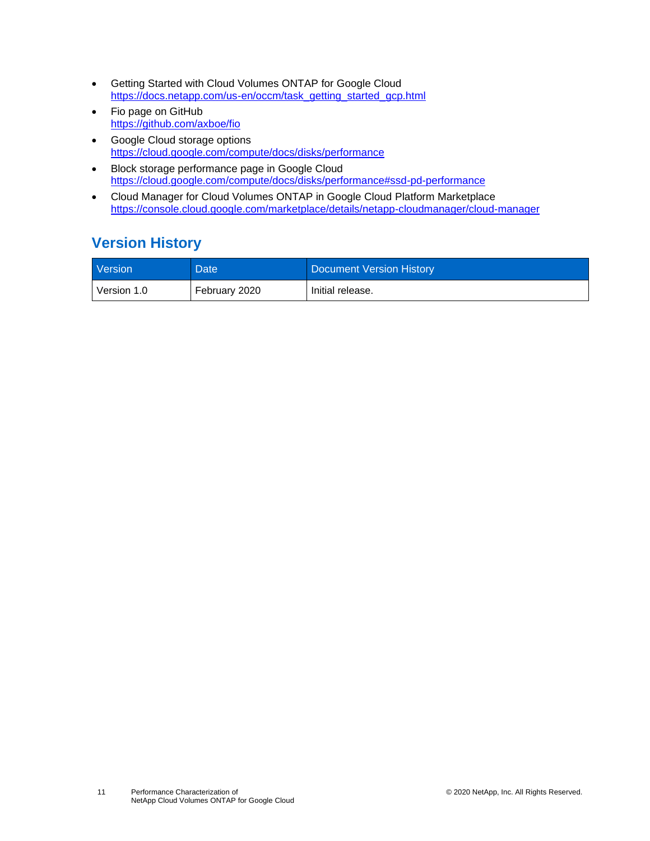- Getting Started with Cloud Volumes ONTAP for Google Cloud [https://docs.netapp.com/us-en/occm/task\\_getting\\_started\\_gcp.html](https://docs.netapp.com/us-en/occm/task_getting_started_gcp.html)
- Fio page on GitHub <https://github.com/axboe/fio>
- Google Cloud storage options <https://cloud.google.com/compute/docs/disks/performance>
- Block storage performance page in Google Cloud <https://cloud.google.com/compute/docs/disks/performance#ssd-pd-performance>
- Cloud Manager for Cloud Volumes ONTAP in Google Cloud Platform Marketplace <https://console.cloud.google.com/marketplace/details/netapp-cloudmanager/cloud-manager>

# <span id="page-10-0"></span>**Version History**

| Version     | Date          | Document Version History |
|-------------|---------------|--------------------------|
| Version 1.0 | February 2020 | Initial release.         |